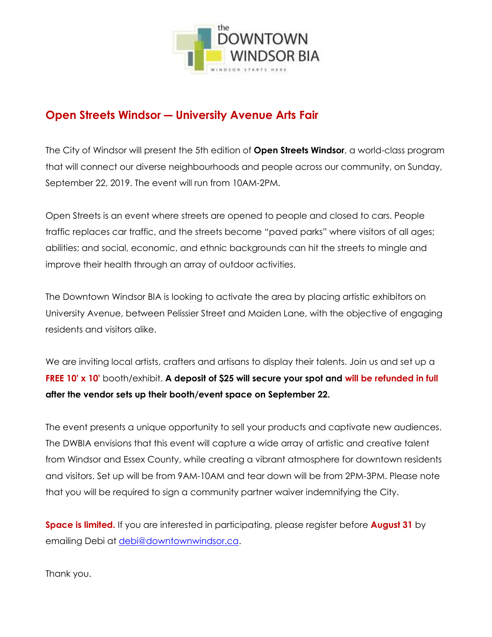

## **Open Streets Windsor ― University Avenue Arts Fair**

The City of Windsor will present the 5th edition of **Open Streets Windsor**, a world-class program that will connect our diverse neighbourhoods and people across our community, on Sunday, September 22, 2019. The event will run from 10AM-2PM.

Open Streets is an event where streets are opened to people and closed to cars. People traffic replaces car traffic, and the streets become "paved parks" where visitors of all ages; abilities; and social, economic, and ethnic backgrounds can hit the streets to mingle and improve their health through an array of outdoor activities.

The Downtown Windsor BIA is looking to activate the area by placing artistic exhibitors on University Avenue, between Pelissier Street and Maiden Lane, with the objective of engaging residents and visitors alike.

We are inviting local artists, crafters and artisans to display their talents. Join us and set up a FREE 10' x 10' booth/exhibit. A deposit of \$25 will secure your spot and will be refunded in full **after the vendor sets up their booth/event space on September 22.**

The event presents a unique opportunity to sell your products and captivate new audiences. The DWBIA envisions that this event will capture a wide array of artistic and creative talent from Windsor and Essex County, while creating a vibrant atmosphere for downtown residents and visitors. Set up will be from 9AM-10AM and tear down will be from 2PM-3PM. Please note that you will be required to sign a community partner waiver indemnifying the City.

**Space is limited.** If you are interested in participating, please register before **August 31** by emailing Debi at [debi@downtownwindsor.ca.](mailto:debi@downtownwindsor.ca)

Thank you.